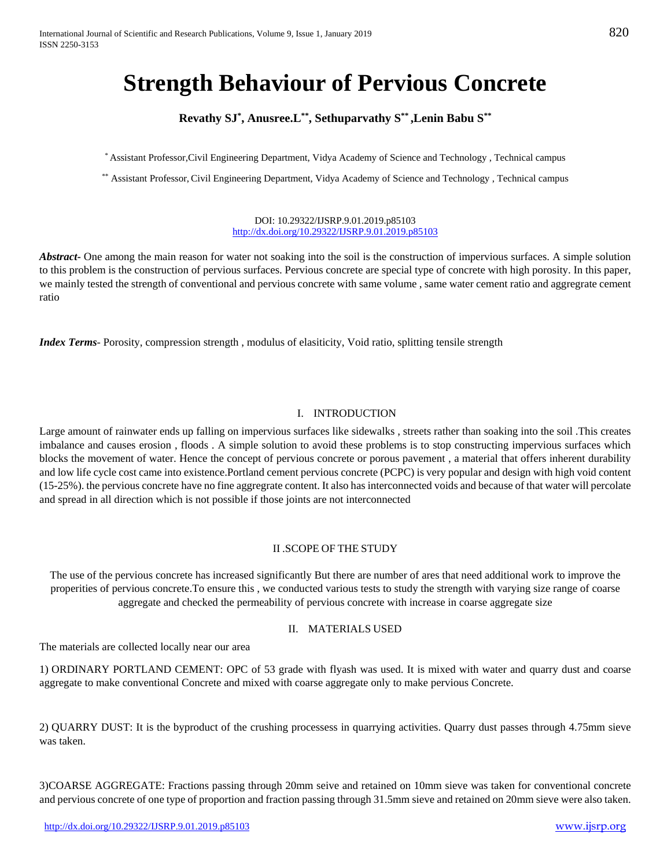# **Strength Behaviour of Pervious Concrete**

### **Revathy SJ\* , Anusree.L\*\*, Sethuparvathy S\*\* ,Lenin Babu S\*\***

\* Assistant Professor,Civil Engineering Department, Vidya Academy of Science and Technology , Technical campus

\*\* Assistant Professor, Civil Engineering Department, Vidya Academy of Science and Technology , Technical campus

DOI: 10.29322/IJSRP.9.01.2019.p85103 <http://dx.doi.org/10.29322/IJSRP.9.01.2019.p85103>

*Abstract* One among the main reason for water not soaking into the soil is the construction of impervious surfaces. A simple solution to this problem is the construction of pervious surfaces. Pervious concrete are special type of concrete with high porosity. In this paper, we mainly tested the strength of conventional and pervious concrete with same volume , same water cement ratio and aggregrate cement ratio

*Index Terms*- Porosity, compression strength , modulus of elasiticity, Void ratio, splitting tensile strength

### I. INTRODUCTION

Large amount of rainwater ends up falling on impervious surfaces like sidewalks , streets rather than soaking into the soil .This creates imbalance and causes erosion , floods . A simple solution to avoid these problems is to stop constructing impervious surfaces which blocks the movement of water. Hence the concept of pervious concrete or porous pavement , a material that offers inherent durability and low life cycle cost came into existence.Portland cement pervious concrete (PCPC) is very popular and design with high void content (15-25%). the pervious concrete have no fine aggregrate content. It also has interconnected voids and because of that water will percolate and spread in all direction which is not possible if those joints are not interconnected

### II .SCOPE OF THE STUDY

The use of the pervious concrete has increased significantly But there are number of ares that need additional work to improve the properities of pervious concrete.To ensure this , we conducted various tests to study the strength with varying size range of coarse aggregate and checked the permeability of pervious concrete with increase in coarse aggregate size

### II. MATERIALS USED

The materials are collected locally near our area

1) ORDINARY PORTLAND CEMENT: OPC of 53 grade with flyash was used. It is mixed with water and quarry dust and coarse aggregate to make conventional Concrete and mixed with coarse aggregate only to make pervious Concrete.

2) QUARRY DUST: It is the byproduct of the crushing processess in quarrying activities. Quarry dust passes through 4.75mm sieve was taken.

3)COARSE AGGREGATE: Fractions passing through 20mm seive and retained on 10mm sieve was taken for conventional concrete and pervious concrete of one type of proportion and fraction passing through 31.5mm sieve and retained on 20mm sieve were also taken.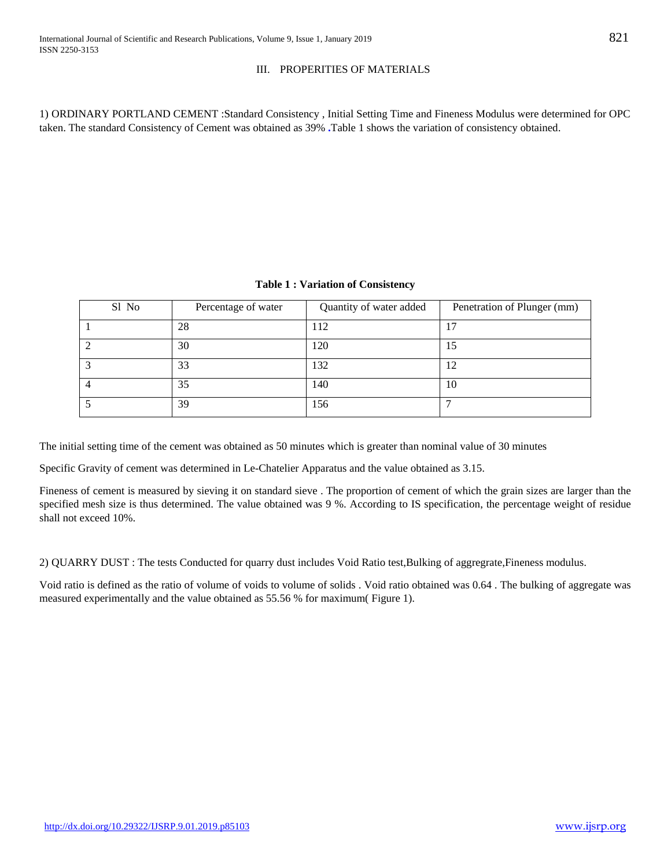### III. PROPERITIES OF MATERIALS

1) ORDINARY PORTLAND CEMENT :Standard Consistency , Initial Setting Time and Fineness Modulus were determined for OPC taken. The standard Consistency of Cement was obtained as 39% **.**Table 1 shows the variation of consistency obtained.

| Sl No | Percentage of water | Quantity of water added | Penetration of Plunger (mm) |
|-------|---------------------|-------------------------|-----------------------------|
|       | 28                  | .12                     | 17                          |
|       | 30                  | 120                     | 15                          |
|       | 33                  | 132                     | 12                          |
|       | 35                  | 140                     | 10                          |
|       | 39                  | 156                     | −                           |

The initial setting time of the cement was obtained as 50 minutes which is greater than nominal value of 30 minutes

Specific Gravity of cement was determined in Le-Chatelier Apparatus and the value obtained as 3.15.

Fineness of cement is measured by sieving it on standard sieve . The proportion of cement of which the grain sizes are larger than the specified mesh size is thus determined. The value obtained was 9 %. According to IS specification, the percentage weight of residue shall not exceed 10%.

2) QUARRY DUST : The tests Conducted for quarry dust includes Void Ratio test,Bulking of aggregrate,Fineness modulus.

Void ratio is defined as the ratio of volume of voids to volume of solids . Void ratio obtained was 0.64 . The bulking of aggregate was measured experimentally and the value obtained as 55.56 % for maximum( Figure 1).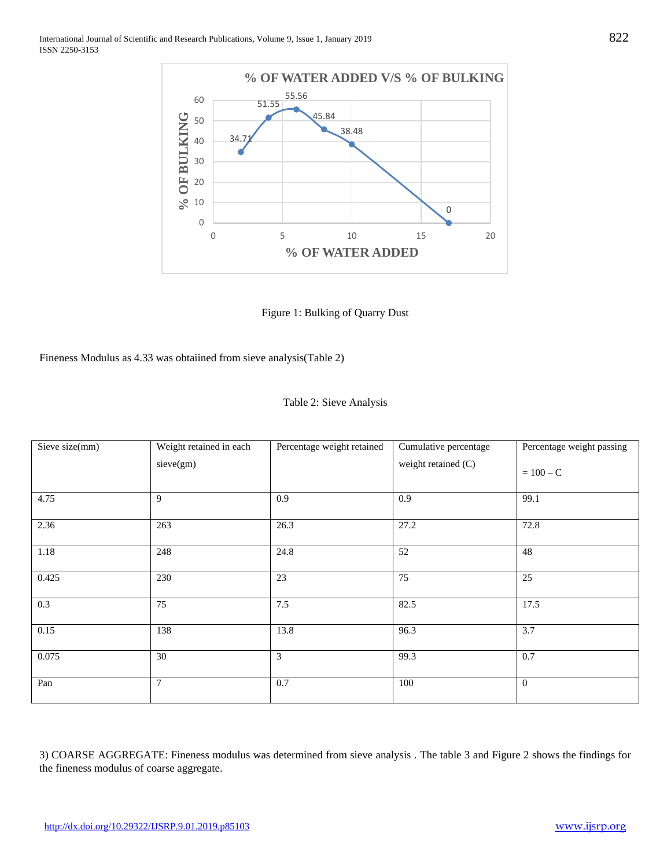

Figure 1: Bulking of Quarry Dust

Fineness Modulus as 4.33 was obtaiined from sieve analysis(Table 2)

| Table 2: Sieve Analysis |  |  |  |  |
|-------------------------|--|--|--|--|
|-------------------------|--|--|--|--|

| Sieve size(mm) | Weight retained in each | Percentage weight retained | Cumulative percentage | Percentage weight passing |  |
|----------------|-------------------------|----------------------------|-----------------------|---------------------------|--|
|                | sieve(gm)               |                            | weight retained (C)   | $= 100 - C$               |  |
| 4.75           | 9                       | 0.9                        | 0.9                   | 99.1                      |  |
| 2.36           | 263                     | 26.3                       | 27.2                  | 72.8                      |  |
| 1.18           | 248                     | 24.8                       | 52                    | 48                        |  |
| 0.425          | 230                     | 23                         | 75                    | 25                        |  |
| 0.3            | 75                      | 7.5                        | 82.5                  | 17.5                      |  |
| 0.15           | 138                     | 13.8                       | 96.3                  | 3.7                       |  |
| 0.075          | 30                      | 3                          | 99.3                  | 0.7                       |  |
| Pan            | $\overline{7}$          | 0.7                        | 100                   | $\overline{0}$            |  |

3) COARSE AGGREGATE: Fineness modulus was determined from sieve analysis . The table 3 and Figure 2 shows the findings for the fineness modulus of coarse aggregate.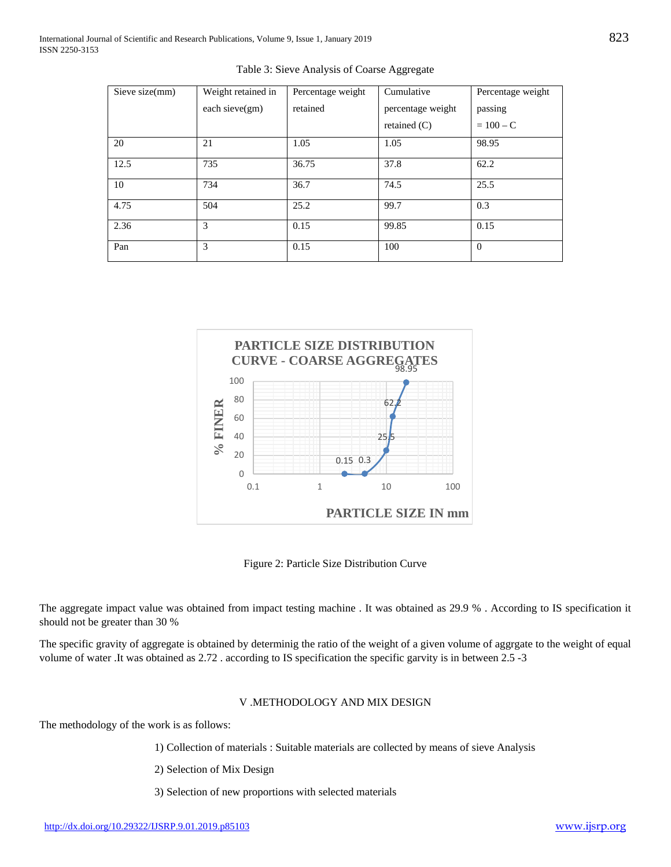| Sieve size(mm) | Weight retained in | Percentage weight | Cumulative        | Percentage weight |
|----------------|--------------------|-------------------|-------------------|-------------------|
|                | each sieve $(gm)$  | retained          | percentage weight | passing           |
|                |                    |                   | retained $(C)$    | $= 100 - C$       |
| 20             | 21                 | 1.05              | 1.05              | 98.95             |
| 12.5           | 735                | 36.75             | 37.8              | 62.2              |
| 10             | 734                | 36.7              | 74.5              | 25.5              |
| 4.75           | 504                | 25.2              | 99.7              | 0.3               |
| 2.36           | 3                  | 0.15              | 99.85             | 0.15              |
| Pan            | 3                  | 0.15              | 100               | $\Omega$          |





Figure 2: Particle Size Distribution Curve

The aggregate impact value was obtained from impact testing machine . It was obtained as 29.9 % . According to IS specification it should not be greater than 30 %

The specific gravity of aggregate is obtained by determinig the ratio of the weight of a given volume of aggrgate to the weight of equal volume of water .It was obtained as 2.72 . according to IS specification the specific garvity is in between 2.5 -3

### V .METHODOLOGY AND MIX DESIGN

The methodology of the work is as follows:

1) Collection of materials : Suitable materials are collected by means of sieve Analysis

2) Selection of Mix Design

3) Selection of new proportions with selected materials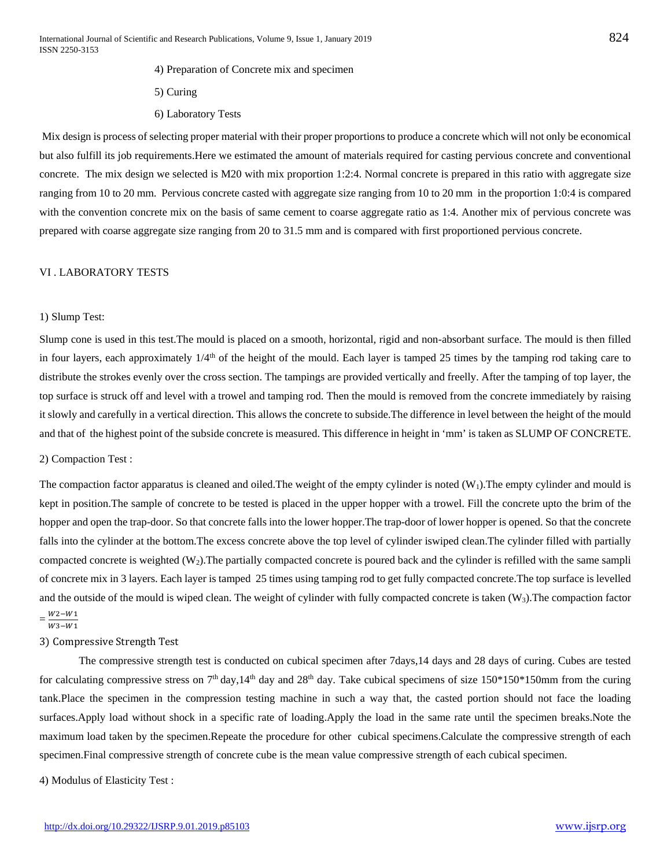- 4) Preparation of Concrete mix and specimen
- 5) Curing
- 6) Laboratory Tests

Mix design is process of selecting proper material with their proper proportions to produce a concrete which will not only be economical but also fulfill its job requirements.Here we estimated the amount of materials required for casting pervious concrete and conventional concrete. The mix design we selected is M20 with mix proportion 1:2:4. Normal concrete is prepared in this ratio with aggregate size ranging from 10 to 20 mm. Pervious concrete casted with aggregate size ranging from 10 to 20 mm in the proportion 1:0:4 is compared with the convention concrete mix on the basis of same cement to coarse aggregate ratio as 1:4. Another mix of pervious concrete was prepared with coarse aggregate size ranging from 20 to 31.5 mm and is compared with first proportioned pervious concrete.

### VI . LABORATORY TESTS

### 1) Slump Test:

Slump cone is used in this test.The mould is placed on a smooth, horizontal, rigid and non-absorbant surface. The mould is then filled in four layers, each approximately  $1/4<sup>th</sup>$  of the height of the mould. Each layer is tamped 25 times by the tamping rod taking care to distribute the strokes evenly over the cross section. The tampings are provided vertically and freelly. After the tamping of top layer, the top surface is struck off and level with a trowel and tamping rod. Then the mould is removed from the concrete immediately by raising it slowly and carefully in a vertical direction. This allows the concrete to subside.The difference in level between the height of the mould and that of the highest point of the subside concrete is measured. This difference in height in 'mm' is taken as SLUMP OF CONCRETE.

### 2) Compaction Test :

The compaction factor apparatus is cleaned and oiled. The weight of the empty cylinder is noted  $(W_1)$ . The empty cylinder and mould is kept in position.The sample of concrete to be tested is placed in the upper hopper with a trowel. Fill the concrete upto the brim of the hopper and open the trap-door. So that concrete falls into the lower hopper.The trap-door of lower hopper is opened. So that the concrete falls into the cylinder at the bottom.The excess concrete above the top level of cylinder iswiped clean.The cylinder filled with partially compacted concrete is weighted  $(W_2)$ . The partially compacted concrete is poured back and the cylinder is refilled with the same sampli of concrete mix in 3 layers. Each layer is tamped 25 times using tamping rod to get fully compacted concrete.The top surface is levelled and the outside of the mould is wiped clean. The weight of cylinder with fully compacted concrete is taken  $(W_3)$ . The compaction factor

## $=\frac{W2-W1}{W3-W1}$

### 3) Compressive Strength Test

The compressive strength test is conducted on cubical specimen after 7days,14 days and 28 days of curing. Cubes are tested for calculating compressive stress on  $7<sup>th</sup>$  day, 14<sup>th</sup> day and 28<sup>th</sup> day. Take cubical specimens of size 150\*150\*150mm from the curing tank.Place the specimen in the compression testing machine in such a way that, the casted portion should not face the loading surfaces.Apply load without shock in a specific rate of loading.Apply the load in the same rate until the specimen breaks.Note the maximum load taken by the specimen.Repeate the procedure for other cubical specimens.Calculate the compressive strength of each specimen.Final compressive strength of concrete cube is the mean value compressive strength of each cubical specimen.

4) Modulus of Elasticity Test :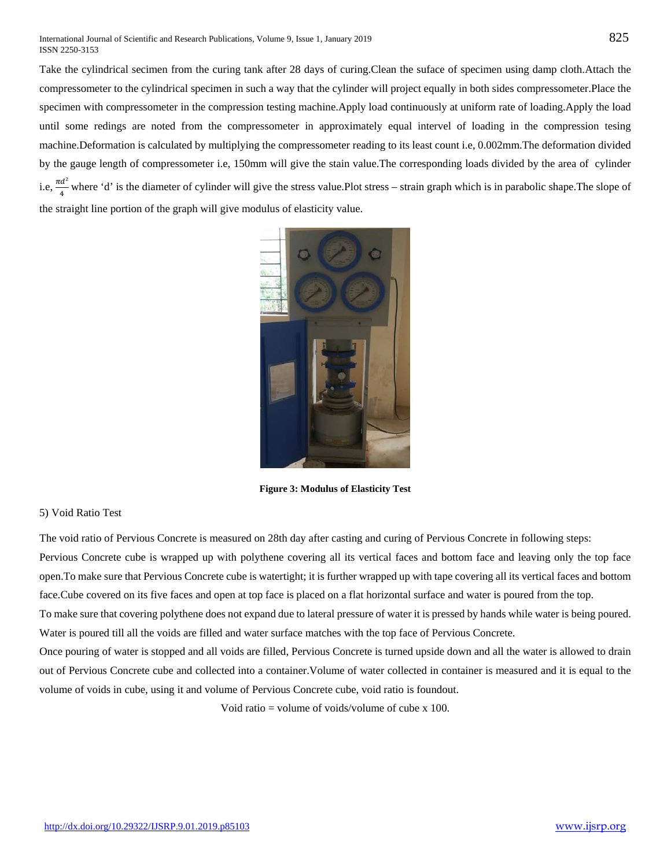Take the cylindrical secimen from the curing tank after 28 days of curing.Clean the suface of specimen using damp cloth.Attach the compressometer to the cylindrical specimen in such a way that the cylinder will project equally in both sides compressometer.Place the specimen with compressometer in the compression testing machine.Apply load continuously at uniform rate of loading.Apply the load until some redings are noted from the compressometer in approximately equal intervel of loading in the compression tesing machine.Deformation is calculated by multiplying the compressometer reading to its least count i.e, 0.002mm.The deformation divided by the gauge length of compressometer i.e, 150mm will give the stain value.The corresponding loads divided by the area of cylinder i.e,  $\frac{\pi a^2}{4}$  where 'd' is the diameter of cylinder will give the stress value.Plot stress – strain graph which is in parabolic shape. The slope of the straight line portion of the graph will give modulus of elasticity value.



**Figure 3: Modulus of Elasticity Test**

### 5) Void Ratio Test

The void ratio of Pervious Concrete is measured on 28th day after casting and curing of Pervious Concrete in following steps:

Pervious Concrete cube is wrapped up with polythene covering all its vertical faces and bottom face and leaving only the top face open.To make sure that Pervious Concrete cube is watertight; it is further wrapped up with tape covering all its vertical faces and bottom face.Cube covered on its five faces and open at top face is placed on a flat horizontal surface and water is poured from the top.

To make sure that covering polythene does not expand due to lateral pressure of water it is pressed by hands while water is being poured. Water is poured till all the voids are filled and water surface matches with the top face of Pervious Concrete.

Once pouring of water is stopped and all voids are filled, Pervious Concrete is turned upside down and all the water is allowed to drain out of Pervious Concrete cube and collected into a container.Volume of water collected in container is measured and it is equal to the volume of voids in cube, using it and volume of Pervious Concrete cube, void ratio is foundout.

Void ratio = volume of voids/volume of cube x 100.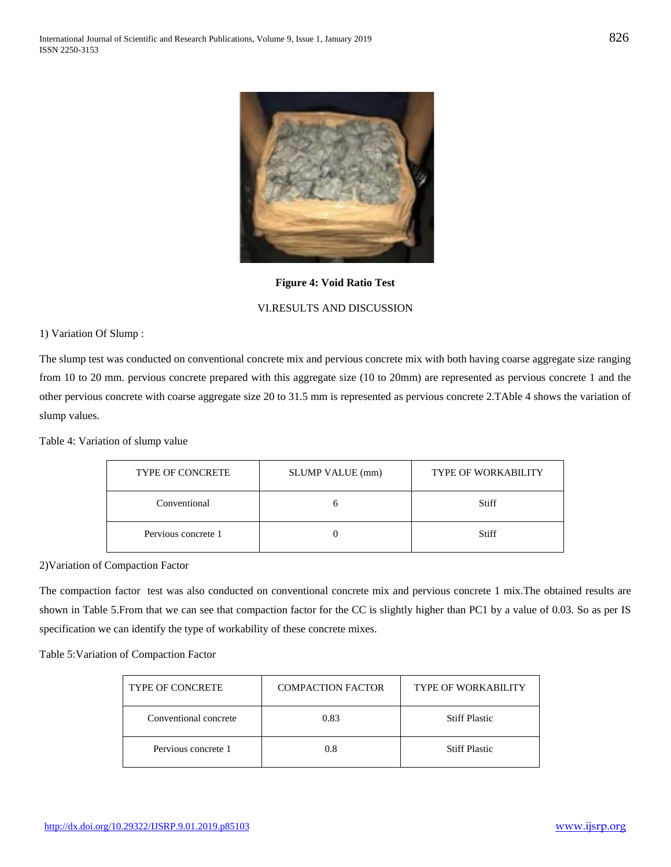

**Figure 4: Void Ratio Test**

### VI.RESULTS AND DISCUSSION

1) Variation Of Slump :

The slump test was conducted on conventional concrete mix and pervious concrete mix with both having coarse aggregate size ranging from 10 to 20 mm. pervious concrete prepared with this aggregate size (10 to 20mm) are represented as pervious concrete 1 and the other pervious concrete with coarse aggregate size 20 to 31.5 mm is represented as pervious concrete 2.TAble 4 shows the variation of slump values.

Table 4: Variation of slump value

| <b>TYPE OF CONCRETE</b> | SLUMP VALUE (mm) | <b>TYPE OF WORKABILITY</b> |  |
|-------------------------|------------------|----------------------------|--|
| Conventional            |                  | Stiff                      |  |
| Pervious concrete 1     |                  | Stiff                      |  |

2)Variation of Compaction Factor

The compaction factor test was also conducted on conventional concrete mix and pervious concrete 1 mix.The obtained results are shown in Table 5.From that we can see that compaction factor for the CC is slightly higher than PC1 by a value of 0.03. So as per IS specification we can identify the type of workability of these concrete mixes.

Table 5:Variation of Compaction Factor

| <b>TYPE OF CONCRETE</b> | <b>COMPACTION FACTOR</b> | <b>TYPE OF WORKABILITY</b> |
|-------------------------|--------------------------|----------------------------|
| Conventional concrete   | 0.83                     | <b>Stiff Plastic</b>       |
| Pervious concrete 1     | 0.8                      | <b>Stiff Plastic</b>       |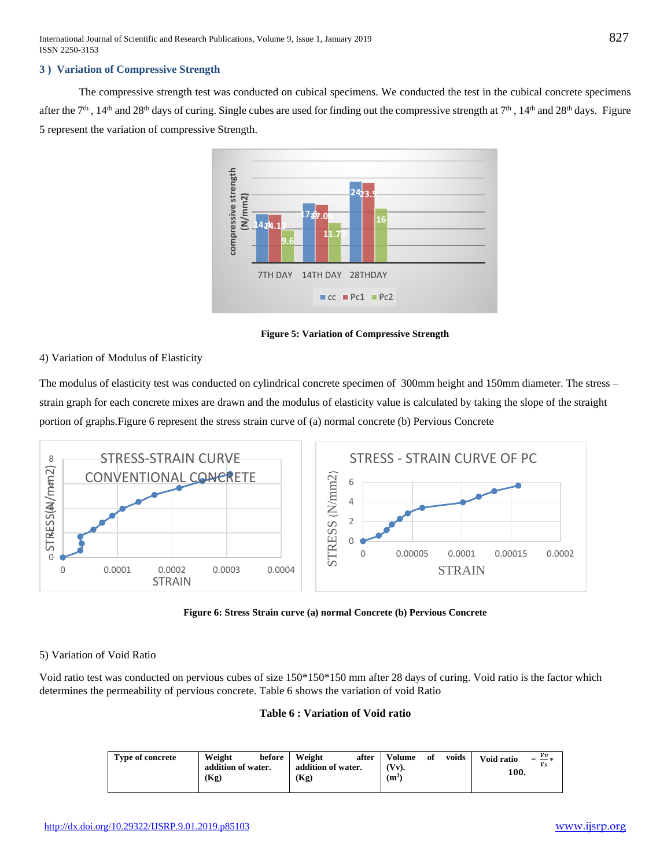### **3 ) Variation of Compressive Strength**

The compressive strength test was conducted on cubical specimens. We conducted the test in the cubical concrete specimens after the  $7<sup>th</sup>$ ,  $14<sup>th</sup>$  and  $28<sup>th</sup>$  days of curing. Single cubes are used for finding out the compressive strength at  $7<sup>th</sup>$ ,  $14<sup>th</sup>$  and  $28<sup>th</sup>$  days. Figure 5 represent the variation of compressive Strength.



**Figure 5: Variation of Compressive Strength**

4) Variation of Modulus of Elasticity

The modulus of elasticity test was conducted on cylindrical concrete specimen of 300mm height and 150mm diameter. The stress – strain graph for each concrete mixes are drawn and the modulus of elasticity value is calculated by taking the slope of the straight portion of graphs.Figure 6 represent the stress strain curve of (a) normal concrete (b) Pervious Concrete



**Figure 6: Stress Strain curve (a) normal Concrete (b) Pervious Concrete**

5) Variation of Void Ratio

Void ratio test was conducted on pervious cubes of size 150\*150\*150 mm after 28 days of curing. Void ratio is the factor which determines the permeability of pervious concrete. Table 6 shows the variation of void Ratio

### **Table 6 : Variation of Void ratio**

| Type of concrete | Weight<br>addition of water.<br>(Kg) | before | Weight<br>addition of water.<br>(Kg) | after | Volume<br>$\mathbf{V}$ v).<br>$(m^3)$ | of | voids | Void ratio<br>100. | $=\frac{Vv}{\sqrt{2}}$ |
|------------------|--------------------------------------|--------|--------------------------------------|-------|---------------------------------------|----|-------|--------------------|------------------------|
|                  |                                      |        |                                      |       |                                       |    |       |                    |                        |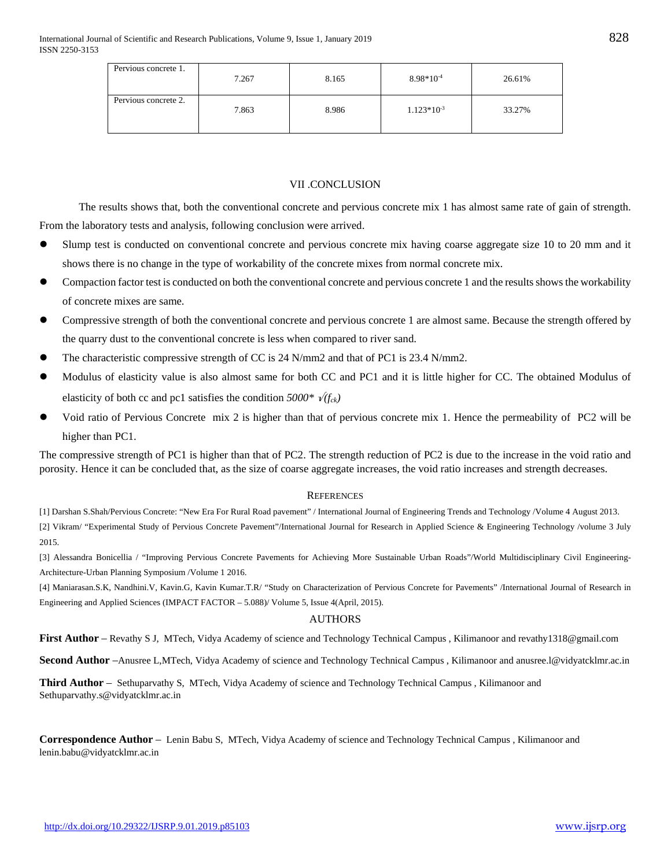| Pervious concrete 1. | 7.267 | 8.165 | $8.98*10^{-4}$ | 26.61% |
|----------------------|-------|-------|----------------|--------|
| Pervious concrete 2. | 7.863 | 8.986 | $1.123*10-3$   | 33.27% |

### VII .CONCLUSION

The results shows that, both the conventional concrete and pervious concrete mix 1 has almost same rate of gain of strength. From the laboratory tests and analysis, following conclusion were arrived.

- Slump test is conducted on conventional concrete and pervious concrete mix having coarse aggregate size 10 to 20 mm and it shows there is no change in the type of workability of the concrete mixes from normal concrete mix.
- Compaction factor test is conducted on both the conventional concrete and pervious concrete 1 and the results shows the workability of concrete mixes are same.
- Compressive strength of both the conventional concrete and pervious concrete 1 are almost same. Because the strength offered by the quarry dust to the conventional concrete is less when compared to river sand.
- The characteristic compressive strength of CC is 24 N/mm2 and that of PC1 is 23.4 N/mm2.
- Modulus of elasticity value is also almost same for both CC and PC1 and it is little higher for CC. The obtained Modulus of elasticity of both cc and pc1 satisfies the condition  $5000^*$   $\sqrt{(f_{ck})}$
- Void ratio of Pervious Concrete mix 2 is higher than that of pervious concrete mix 1. Hence the permeability of PC2 will be higher than PC1.

The compressive strength of PC1 is higher than that of PC2. The strength reduction of PC2 is due to the increase in the void ratio and porosity. Hence it can be concluded that, as the size of coarse aggregate increases, the void ratio increases and strength decreases.

#### **REFERENCES**

[1] Darshan S.Shah/Pervious Concrete: "New Era For Rural Road pavement" / International Journal of Engineering Trends and Technology /Volume 4 August 2013. [2] Vikram/ "Experimental Study of Pervious Concrete Pavement"/International Journal for Research in Applied Science & Engineering Technology /volume 3 July 2015.

[3] Alessandra Bonicellia / "Improving Pervious Concrete Pavements for Achieving More Sustainable Urban Roads"/World Multidisciplinary Civil Engineering-Architecture-Urban Planning Symposium /Volume 1 2016.

[4] Maniarasan.S.K, Nandhini.V, Kavin.G, Kavin Kumar.T.R/ "Study on Characterization of Pervious Concrete for Pavements" /International Journal of Research in Engineering and Applied Sciences (IMPACT FACTOR – 5.088)/ Volume 5, Issue 4(April, 2015).

### AUTHORS

First Author - Revathy S J, MTech, Vidya Academy of science and Technology Technical Campus, Kilimanoor and revathy1318@gmail.com

**Second Author** –Anusree L,MTech, Vidya Academy of science and Technology Technical Campus , Kilimanoor and anusree.l@vidyatcklmr.ac.in

**Third Author** – Sethuparvathy S, MTech, Vidya Academy of science and Technology Technical Campus , Kilimanoor and Sethuparvathy.s@vidyatcklmr.ac.in

**Correspondence Author** – Lenin Babu S, MTech, Vidya Academy of science and Technology Technical Campus , Kilimanoor and lenin.babu@vidyatcklmr.ac.in